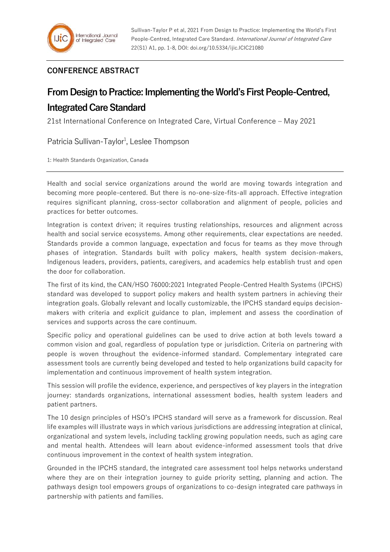## **CONFERENCE ABSTRACT**

## **From Design to Practice: Implementing the World's First People-Centred, Integrated Care Standard**

21st International Conference on Integrated Care, Virtual Conference – May 2021

Patricia Sullivan-Taylor<sup>1</sup>, Leslee Thompson

1: Health Standards Organization, Canada

Health and social service organizations around the world are moving towards integration and becoming more people-centered. But there is no-one-size-fits-all approach. Effective integration requires significant planning, cross-sector collaboration and alignment of people, policies and practices for better outcomes.

Integration is context driven; it requires trusting relationships, resources and alignment across health and social service ecosystems. Among other requirements, clear expectations are needed. Standards provide a common language, expectation and focus for teams as they move through phases of integration. Standards built with policy makers, health system decision-makers, Indigenous leaders, providers, patients, caregivers, and academics help establish trust and open the door for collaboration.

The first of its kind, the CAN/HSO 76000:2021 Integrated People-Centred Health Systems (IPCHS) standard was developed to support policy makers and health system partners in achieving their integration goals. Globally relevant and locally customizable, the IPCHS standard equips decisionmakers with criteria and explicit guidance to plan, implement and assess the coordination of services and supports across the care continuum.

Specific policy and operational guidelines can be used to drive action at both levels toward a common vision and goal, regardless of population type or jurisdiction. Criteria on partnering with people is woven throughout the evidence-informed standard. Complementary integrated care assessment tools are currently being developed and tested to help organizations build capacity for implementation and continuous improvement of health system integration.

This session will profile the evidence, experience, and perspectives of key players in the integration journey: standards organizations, international assessment bodies, health system leaders and patient partners.

The 10 design principles of HSO's IPCHS standard will serve as a framework for discussion. Real life examples will illustrate ways in which various jurisdictions are addressing integration at clinical, organizational and system levels, including tackling growing population needs, such as aging care and mental health. Attendees will learn about evidence-informed assessment tools that drive continuous improvement in the context of health system integration.

Grounded in the IPCHS standard, the integrated care assessment tool helps networks understand where they are on their integration journey to guide priority setting, planning and action. The pathways design tool empowers groups of organizations to co-design integrated care pathways in partnership with patients and families.